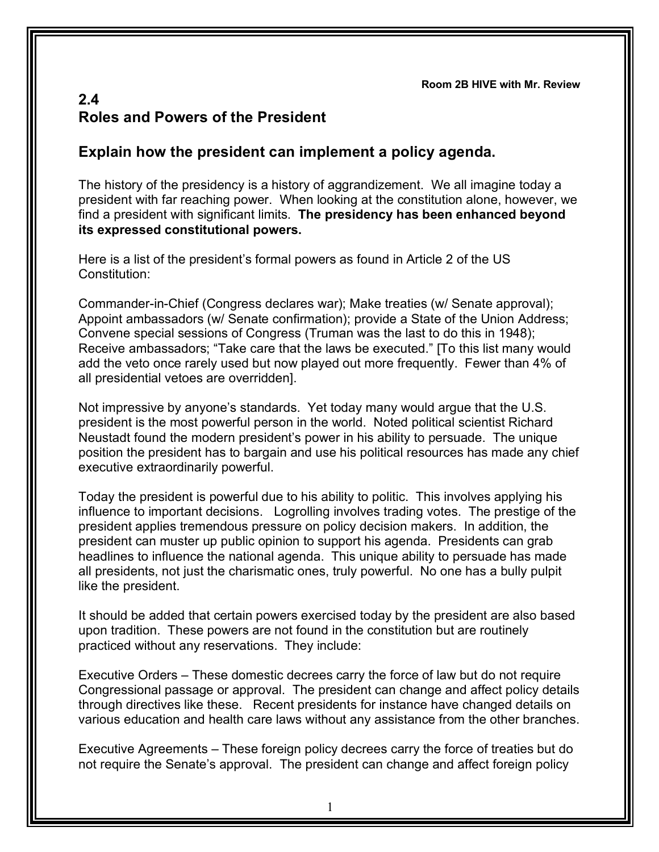**Room 2B HIVE with Mr. Review**

## **2.4 Roles and Powers of the President**

## **Explain how the president can implement a policy agenda.**

The history of the presidency is a history of aggrandizement. We all imagine today a president with far reaching power. When looking at the constitution alone, however, we find a president with significant limits. **The presidency has been enhanced beyond its expressed constitutional powers.**

Here is a list of the president's formal powers as found in Article 2 of the US Constitution:

Commander-in-Chief (Congress declares war); Make treaties (w/ Senate approval); Appoint ambassadors (w/ Senate confirmation); provide a State of the Union Address; Convene special sessions of Congress (Truman was the last to do this in 1948); Receive ambassadors; "Take care that the laws be executed." [To this list many would add the veto once rarely used but now played out more frequently. Fewer than 4% of all presidential vetoes are overridden].

Not impressive by anyone's standards. Yet today many would argue that the U.S. president is the most powerful person in the world. Noted political scientist Richard Neustadt found the modern president's power in his ability to persuade. The unique position the president has to bargain and use his political resources has made any chief executive extraordinarily powerful.

Today the president is powerful due to his ability to politic. This involves applying his influence to important decisions. Logrolling involves trading votes. The prestige of the president applies tremendous pressure on policy decision makers. In addition, the president can muster up public opinion to support his agenda. Presidents can grab headlines to influence the national agenda. This unique ability to persuade has made all presidents, not just the charismatic ones, truly powerful. No one has a bully pulpit like the president.

It should be added that certain powers exercised today by the president are also based upon tradition. These powers are not found in the constitution but are routinely practiced without any reservations. They include:

Executive Orders – These domestic decrees carry the force of law but do not require Congressional passage or approval. The president can change and affect policy details through directives like these. Recent presidents for instance have changed details on various education and health care laws without any assistance from the other branches.

Executive Agreements – These foreign policy decrees carry the force of treaties but do not require the Senate's approval. The president can change and affect foreign policy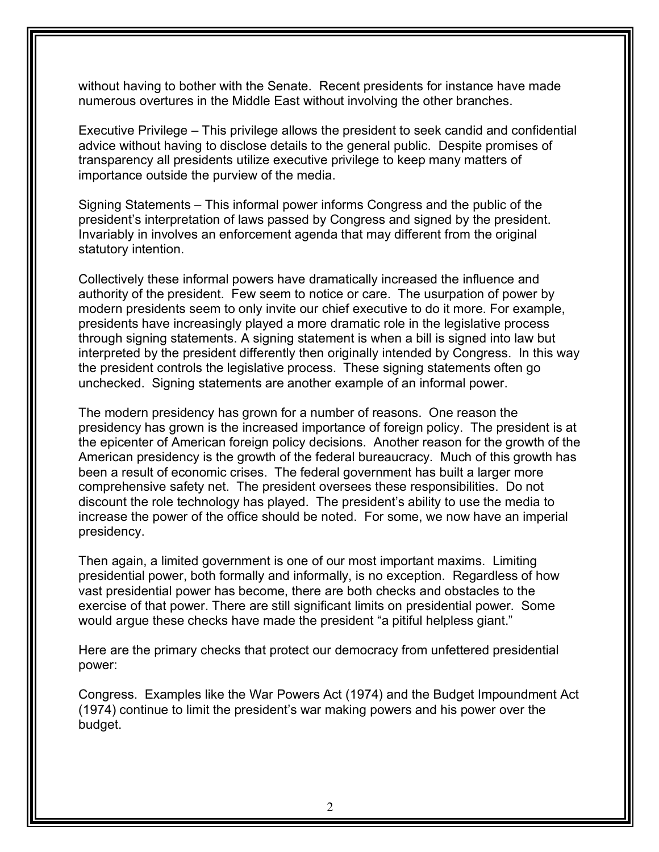without having to bother with the Senate. Recent presidents for instance have made numerous overtures in the Middle East without involving the other branches.

Executive Privilege – This privilege allows the president to seek candid and confidential advice without having to disclose details to the general public. Despite promises of transparency all presidents utilize executive privilege to keep many matters of importance outside the purview of the media.

Signing Statements – This informal power informs Congress and the public of the president's interpretation of laws passed by Congress and signed by the president. Invariably in involves an enforcement agenda that may different from the original statutory intention.

Collectively these informal powers have dramatically increased the influence and authority of the president. Few seem to notice or care. The usurpation of power by modern presidents seem to only invite our chief executive to do it more. For example, presidents have increasingly played a more dramatic role in the legislative process through signing statements. A signing statement is when a bill is signed into law but interpreted by the president differently then originally intended by Congress. In this way the president controls the legislative process. These signing statements often go unchecked. Signing statements are another example of an informal power.

The modern presidency has grown for a number of reasons. One reason the presidency has grown is the increased importance of foreign policy. The president is at the epicenter of American foreign policy decisions. Another reason for the growth of the American presidency is the growth of the federal bureaucracy. Much of this growth has been a result of economic crises. The federal government has built a larger more comprehensive safety net. The president oversees these responsibilities. Do not discount the role technology has played. The president's ability to use the media to increase the power of the office should be noted. For some, we now have an imperial presidency.

Then again, a limited government is one of our most important maxims. Limiting presidential power, both formally and informally, is no exception. Regardless of how vast presidential power has become, there are both checks and obstacles to the exercise of that power. There are still significant limits on presidential power. Some would argue these checks have made the president "a pitiful helpless giant."

Here are the primary checks that protect our democracy from unfettered presidential power:

Congress. Examples like the War Powers Act (1974) and the Budget Impoundment Act (1974) continue to limit the president's war making powers and his power over the budget.